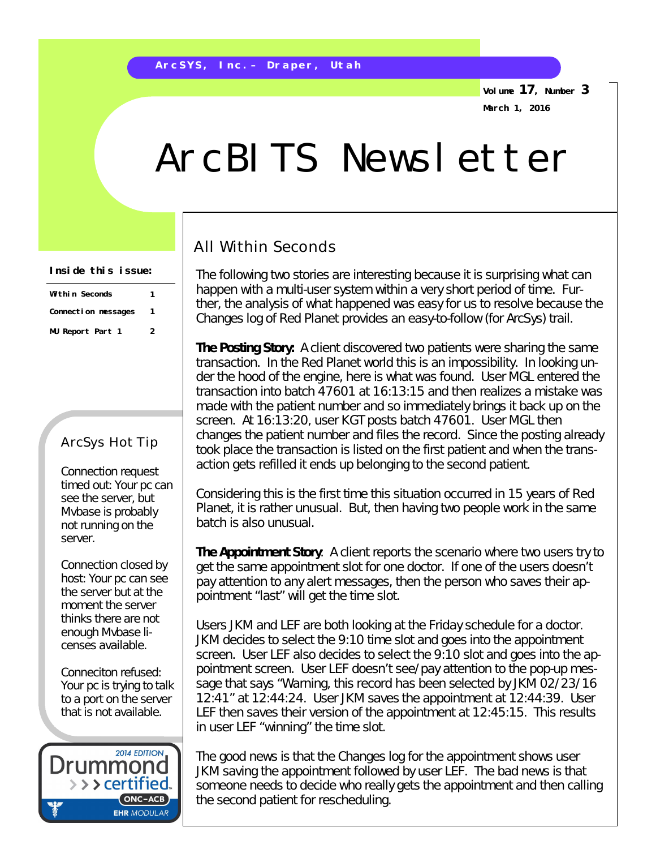**Volume 17, Number 3 March 1, 2016**

# ArcBITS Newsletter

## All Within Seconds

The following two stories are interesting because it is surprising what can happen with a multi-user system within a very short period of time. Further, the analysis of what happened was easy for us to resolve because the Changes log of Red Planet provides an easy-to-follow (for ArcSys) trail.

**The Posting Story:** A client discovered two patients were sharing the same transaction. In the Red Planet world this is an impossibility. In looking under the hood of the engine, here is what was found. User MGL entered the transaction into batch 47601 at 16:13:15 and then realizes a mistake was made with the patient number and so immediately brings it back up on the screen. At 16:13:20, user KGT posts batch 47601. User MGL then changes the patient number and files the record. Since the posting already took place the transaction is listed on the first patient and when the transaction gets refilled it ends up belonging to the second patient.

Considering this is the first time this situation occurred in 15 years of Red Planet, it is rather unusual. But, then having two people work in the same batch is also unusual.

*The Appointment Story*: A client reports the scenario where two users try to get the same appointment slot for one doctor. If one of the users doesn't pay attention to any alert messages, then the person who saves their appointment "last" will get the time slot.

Users JKM and LEF are both looking at the Friday schedule for a doctor. JKM decides to select the 9:10 time slot and goes into the appointment screen. User LEF also decides to select the 9:10 slot and goes into the appointment screen. User LEF doesn't see/pay attention to the pop-up message that says "*Warning, this record has been selected by JKM 02/23/16 12:41*" at 12:44:24. User JKM saves the appointment at 12:44:39. User LEF then saves their version of the appointment at 12:45:15. This results in user LEF "winning" the time slot.

The good news is that the Changes log for the appointment shows user JKM saving the appointment followed by user LEF. The bad news is that someone needs to decide who really gets the appointment and then calling the second patient for rescheduling.

#### **Inside this issue:**

| Within Seconds      |  |  |  |  |  |
|---------------------|--|--|--|--|--|
| Connection messages |  |  |  |  |  |
| MU Report Part 1    |  |  |  |  |  |

### ArcSys Hot Tip

Connection request timed out: Your pc can see the server, but Mvbase is probably not running on the server.

Connection closed by host: Your pc can see the server but at the moment the server thinks there are not enough Mvbase licenses available.

Conneciton refused: Your pc is trying to talk to a port on the server that is not available.